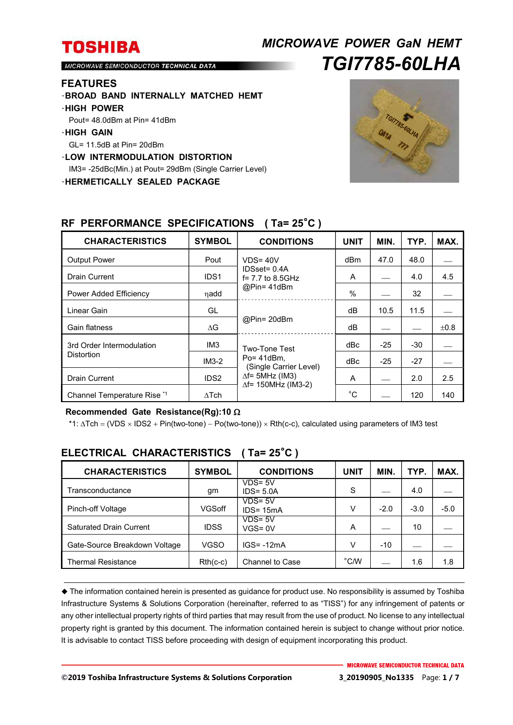# *MICROWAVE POWER GaN HEMT TGI7785-60LHA*

MICROWAVE SEMICONDUCTOR TECHNICAL DATA

### **FEATURES**

- ・**BROAD BAND INTERNALLY MATCHED HEMT**
- ・**HIGH POWER**
- Pout= 48.0dBm at Pin= 41dBm
- ・**HIGH GAIN**
- GL= 11.5dB at Pin= 20dBm
- ・**LOW INTERMODULATION DISTORTION**
- IM3= -25dBc(Min.) at Pout= 29dBm (Single Carrier Level)

・**HERMETICALLY SEALED PACKAGE** 



| <b>CHARACTERISTICS</b>                         | <b>SYMBOL</b>    | <b>CONDITIONS</b>                                                                                                   | <b>UNIT</b> | MIN.  | TYP.  | MAX. |
|------------------------------------------------|------------------|---------------------------------------------------------------------------------------------------------------------|-------------|-------|-------|------|
| <b>Output Power</b>                            | Pout             | $VDS = 40V$<br>$IDSset = 0.4A$<br>$f = 7.7$ to 8.5GHz<br>@Pin=41dBm                                                 | dBm         | 47.0  | 48.0  |      |
| Drain Current                                  | IDS <sub>1</sub> |                                                                                                                     | A           |       | 4.0   | 4.5  |
| Power Added Efficiency                         | ηadd             |                                                                                                                     | $\%$        |       | 32    |      |
| Linear Gain                                    | GL               | @Pin= 20dBm                                                                                                         | dB          | 10.5  | 11.5  |      |
| Gain flatness                                  | $\Delta G$       |                                                                                                                     | dB          |       |       | ±0.8 |
| 3rd Order Intermodulation<br><b>Distortion</b> | IM <sub>3</sub>  | Two-Tone Test<br>$Po = 41dBm$ .<br>(Single Carrier Level)<br>$\Delta f$ = 5MHz (IM3)<br>$\Delta f$ = 150MHz (IM3-2) | dBc         | $-25$ | $-30$ |      |
|                                                | $IM3-2$          |                                                                                                                     | dBc         | $-25$ | $-27$ |      |
| <b>Drain Current</b>                           | IDS <sub>2</sub> |                                                                                                                     | A           |       | 2.0   | 2.5  |
| Channel Temperature Rise *1                    | $\Delta$ Tch     |                                                                                                                     | $^{\circ}C$ |       | 120   | 140  |

## **RF PERFORMANCE SPECIFICATIONS ( Ta= 25**°**C )**

### **Recommended Gate Resistance(Rg):10**

\*1: ∆Tch = (VDS × IDS2 + Pin(two-tone) – Po(two-tone)) × Rth(c-c), calculated using parameters of IM3 test

| <b>CHARACTERISTICS</b>         | <b>SYMBOL</b> | <b>CONDITIONS</b>          | UNIT           | MIN.   | TYP.   | MAX.   |
|--------------------------------|---------------|----------------------------|----------------|--------|--------|--------|
| Transconductance               | gm            | $VDS = 5V$<br>$IDS = 5.0A$ | S              |        | 4.0    |        |
| Pinch-off Voltage              | VGSoff        | VDS= 5V<br>$IDS = 15mA$    | V              | $-2.0$ | $-3.0$ | $-5.0$ |
| <b>Saturated Drain Current</b> | <b>IDSS</b>   | $VDS = 5V$<br>$VGS = 0V$   | A              |        | 10     |        |
| Gate-Source Breakdown Voltage  | <b>VGSO</b>   | $IGS = -12mA$              | V              | $-10$  |        |        |
| <b>Thermal Resistance</b>      | $Rth(c-c)$    | Channel to Case            | $^{\circ}$ C/W |        | 1.6    | 1.8    |

## **ELECTRICAL CHARACTERISTICS ( Ta= 25**°**C )**

 The information contained herein is presented as guidance for product use. No responsibility is assumed by Toshiba Infrastructure Systems & Solutions Corporation (hereinafter, referred to as "TISS") for any infringement of patents or any other intellectual property rights of third parties that may result from the use of product. No license to any intellectual property right is granted by this document. The information contained herein is subject to change without prior notice. It is advisable to contact TISS before proceeding with design of equipment incorporating this product.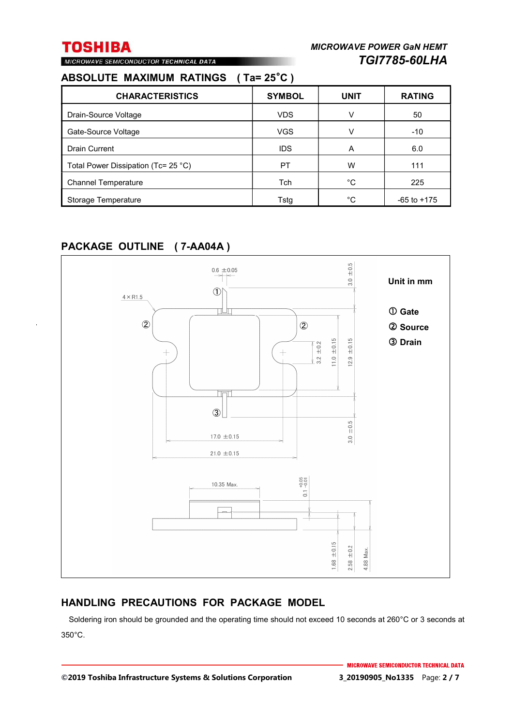# MICROWAVE SEMICONDUCTOR TECHNICAL DATA

# **ABSOLUTE MAXIMUM RATINGS ( Ta= 25**°**C )**

| <b>CHARACTERISTICS</b>              | <b>SYMBOL</b> | <b>UNIT</b> | <b>RATING</b>   |
|-------------------------------------|---------------|-------------|-----------------|
| Drain-Source Voltage                | <b>VDS</b>    | v           | 50              |
| Gate-Source Voltage                 | <b>VGS</b>    | v           | $-10$           |
| <b>Drain Current</b>                | <b>IDS</b>    | A           | 6.0             |
| Total Power Dissipation (Tc= 25 °C) | PT            | w           | 111             |
| <b>Channel Temperature</b>          | Tch           | °C          | 225             |
| Storage Temperature                 | Tstg          | °C          | $-65$ to $+175$ |

## **PACKAGE OUTLINE ( 7-AA04A )**



## **HANDLING PRECAUTIONS FOR PACKAGE MODEL**

Soldering iron should be grounded and the operating time should not exceed 10 seconds at 260°C or 3 seconds at 350°C.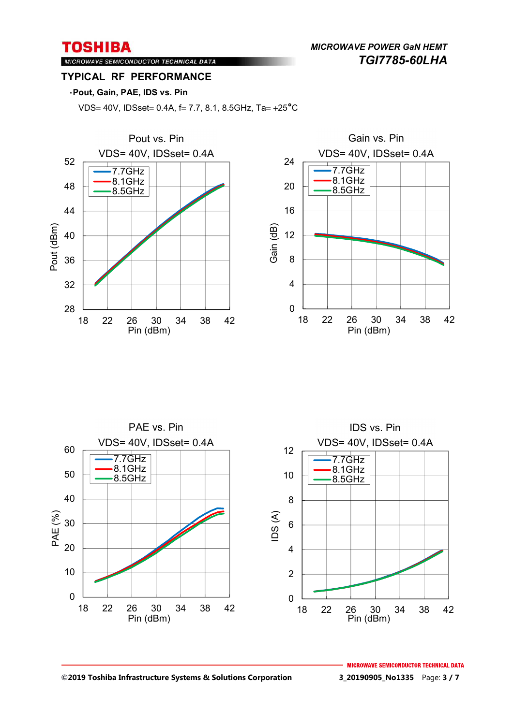*MICROWAVE POWER GaN HEMT TGI7785-60LHA* 

## MICROWAVE SEMICONDUCTOR TECHNICAL DATA **TYPICAL RF PERFORMANCE**

### ・**Pout, Gain, PAE, IDS vs. Pin**

VDS= 40V, IDSset= 0.4A, f= 7.7, 8.1, 8.5GHz, Ta=  $+25^{\circ}$ C





#### **©2019 Toshiba Infrastructure Systems & Solutions Corporation 3\_20190905\_No1335** Page: **3 / 7**

**MICROWAVE SEMICONDUCTOR TECHNICAL DATA**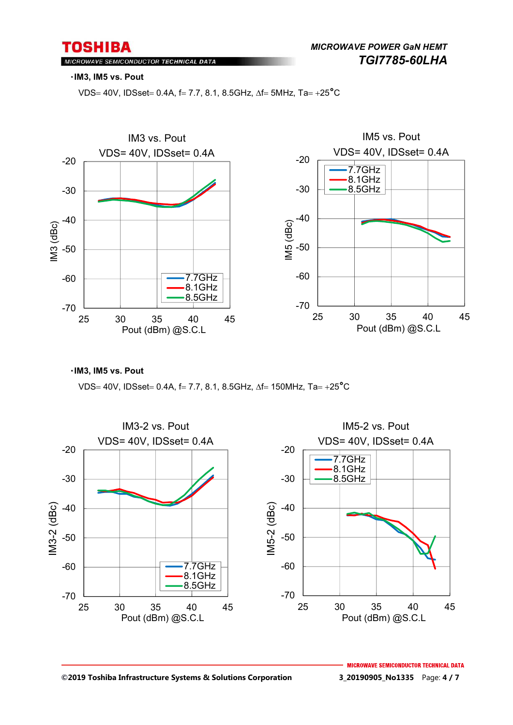*MICROWAVE POWER GaN HEMT TGI7785-60LHA* 

### MICROWAVE SEMICONDUCTOR TECHNICAL DATA

#### ・**IM3, IM5 vs. Pout**

VDS= 40V, IDSset = 0.4A, f = 7.7, 8.1, 8.5GHz,  $\Delta f$  = 5MHz, Ta = +25<sup>°</sup>C



・**IM3, IM5 vs. Pout** 

VDS= 40V, IDSset= 0.4A, f= 7.7, 8.1, 8.5GHz,  $\Delta f = 150$ MHz, Ta= +25<sup>°</sup>C

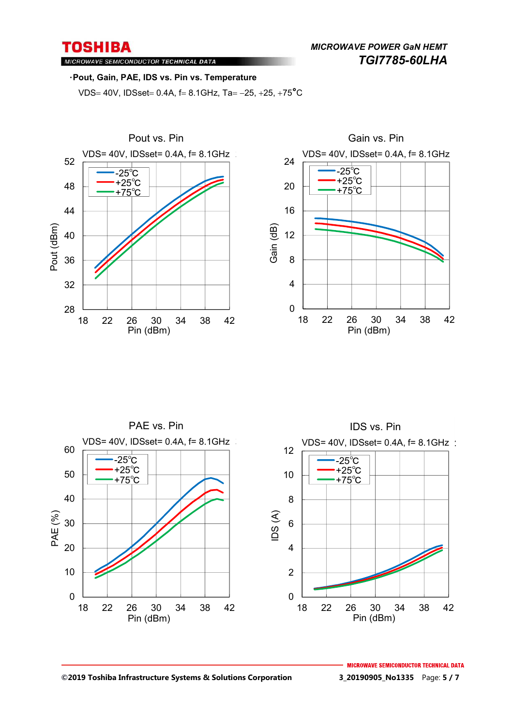MICROWAVE SEMICONDUCTOR TECHNICAL DATA

### ・**Pout, Gain, PAE, IDS vs. Pin vs. Temperature**

VDS= 40V, IDSset = 0.4A,  $f = 8.1$ GHz, Ta = -25, +25, +75<sup>°</sup>C







#### **©2019 Toshiba Infrastructure Systems & Solutions Corporation 3\_20190905\_No1335** Page: **5 / 7**

**MICROWAVE SEMICONDUCTOR TECHNICAL DATA**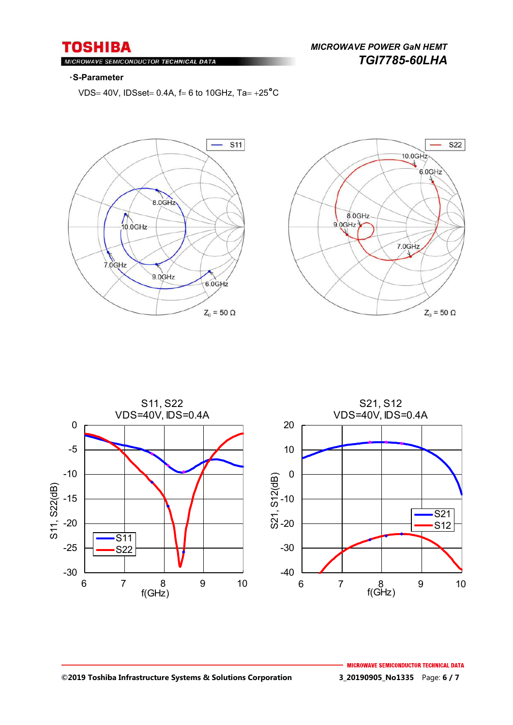MICROWAVE SEMICONDUCTOR TECHNICAL DATA

#### ・**S-Parameter**

VDS= 40V, IDSset = 0.4A,  $f = 6$  to 10GHz, Ta =  $+25^{\circ}$ C